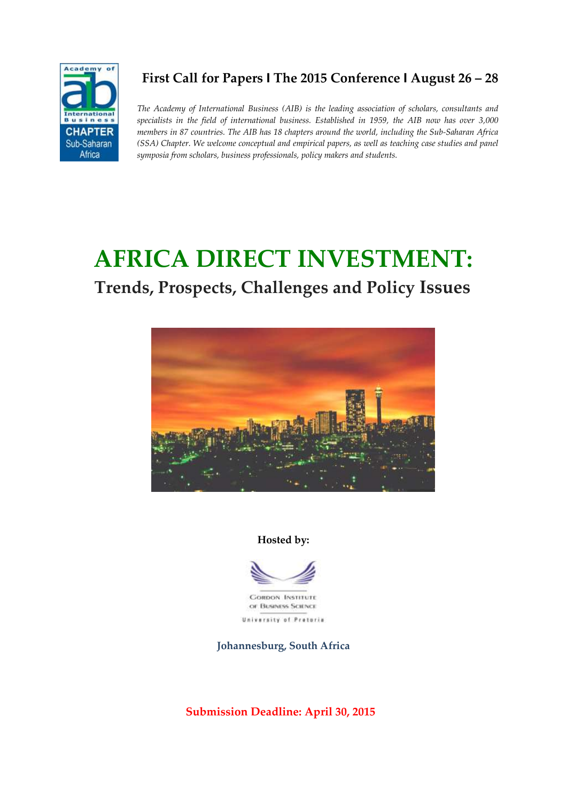

# **First Call for Papers I The 2015 Conference I August 26 – 28**

*The Academy of International Business (AIB) is the leading association of scholars, consultants and specialists in the field of international business. Established in 1959, the AIB now has over 3,000 members in 87 countries. The AIB has 18 chapters around the world, including the Sub-Saharan Africa (SSA) Chapter. We welcome conceptual and empirical papers, as well as teaching case studies and panel symposia from scholars, business professionals, policy makers and students.* 

# **AFRICA DIRECT INVESTMENT:**

# **Trends, Prospects, Challenges and Policy Issues**



#### **Hosted by:**



**Johannesburg, South Africa**

**Submission Deadline: April 30, 2015**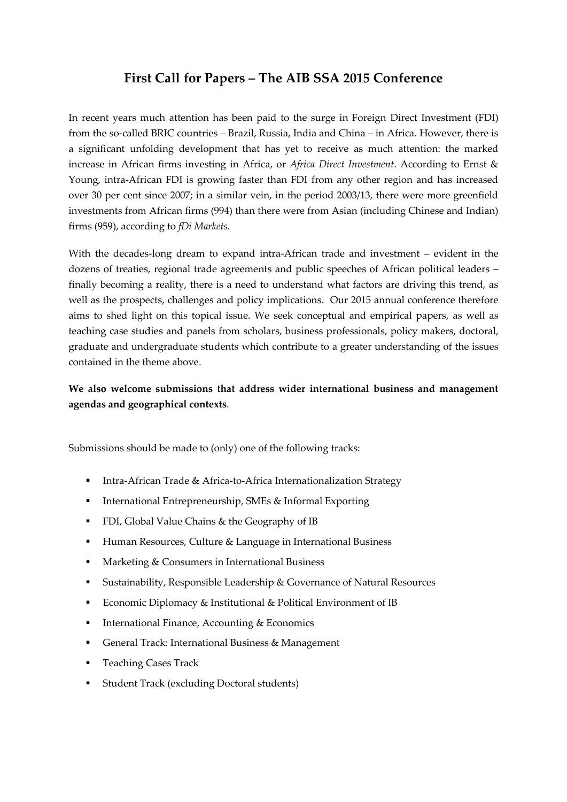# **First Call for Papers – The AIB SSA 2015 Conference**

In recent years much attention has been paid to the surge in Foreign Direct Investment (FDI) from the so-called BRIC countries – Brazil, Russia, India and China – in Africa. However, there is a significant unfolding development that has yet to receive as much attention: the marked increase in African firms investing in Africa, or *Africa Direct Investment*. According to Ernst & Young, intra-African FDI is growing faster than FDI from any other region and has increased over 30 per cent since 2007; in a similar vein, in the period 2003/13, there were more greenfield investments from African firms (994) than there were from Asian (including Chinese and Indian) firms (959), according to *fDi Markets*.

With the decades-long dream to expand intra-African trade and investment – evident in the dozens of treaties, regional trade agreements and public speeches of African political leaders – finally becoming a reality, there is a need to understand what factors are driving this trend, as well as the prospects, challenges and policy implications. Our 2015 annual conference therefore aims to shed light on this topical issue. We seek conceptual and empirical papers, as well as teaching case studies and panels from scholars, business professionals, policy makers, doctoral, graduate and undergraduate students which contribute to a greater understanding of the issues contained in the theme above.

## **We also welcome submissions that address wider international business and management agendas and geographical contexts**.

Submissions should be made to (only) one of the following tracks:

- Intra-African Trade & Africa-to-Africa Internationalization Strategy
- **International Entrepreneurship, SMEs & Informal Exporting**
- **FDI**, Global Value Chains & the Geography of IB
- Human Resources, Culture & Language in International Business
- **Marketing & Consumers in International Business**
- **Sustainability, Responsible Leadership & Governance of Natural Resources**
- Economic Diplomacy & Institutional & Political Environment of IB
- $\blacksquare$  International Finance, Accounting & Economics
- General Track: International Business & Management
- **Teaching Cases Track**
- Student Track (excluding Doctoral students)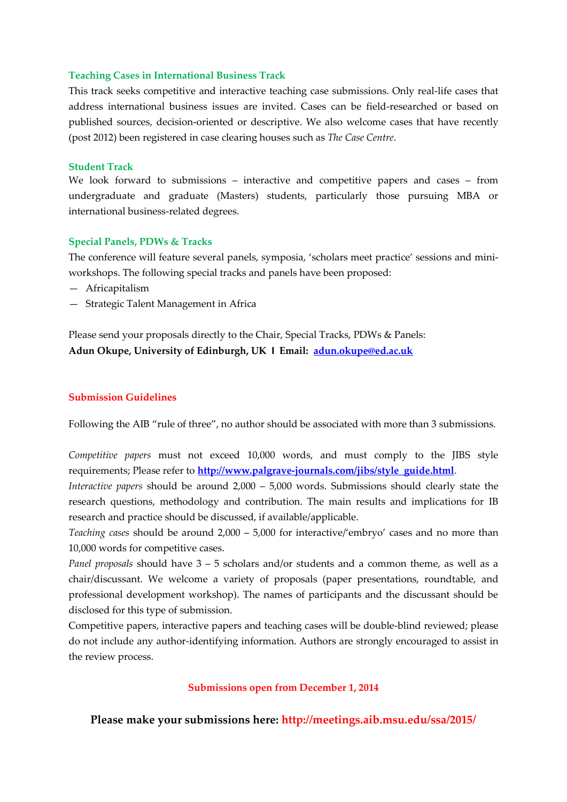#### **Teaching Cases in International Business Track**

This track seeks competitive and interactive teaching case submissions. Only real-life cases that address international business issues are invited. Cases can be field-researched or based on published sources, decision-oriented or descriptive. We also welcome cases that have recently (post 2012) been registered in case clearing houses such as *The Case Centre*.

#### **Student Track**

We look forward to submissions – interactive and competitive papers and cases – from undergraduate and graduate (Masters) students, particularly those pursuing MBA or international business-related degrees.

#### **Special Panels, PDWs & Tracks**

The conference will feature several panels, symposia, 'scholars meet practice' sessions and miniworkshops. The following special tracks and panels have been proposed:

- Africapitalism
- Strategic Talent Management in Africa

Please send your proposals directly to the Chair, Special Tracks, PDWs & Panels: **Adun Okupe, University of Edinburgh, UK I Email: adun.okupe@ed.ac.uk**

#### **Submission Guidelines**

Following the AIB "rule of three", no author should be associated with more than 3 submissions.

*Competitive papers* must not exceed 10,000 words, and must comply to the JIBS style requirements; Please refer to **[http://www.palgrave-journals.com/jibs/style\\_guide.html](http://www.palgrave-journals.com/jibs/style_guide.html)**.

*Interactive papers* should be around 2,000 – 5,000 words. Submissions should clearly state the research questions, methodology and contribution. The main results and implications for IB research and practice should be discussed, if available/applicable.

*Teaching cases* should be around 2,000 – 5,000 for interactive/'embryo' cases and no more than 10,000 words for competitive cases.

*Panel proposals* should have 3 – 5 scholars and/or students and a common theme, as well as a chair/discussant. We welcome a variety of proposals (paper presentations, roundtable, and professional development workshop). The names of participants and the discussant should be disclosed for this type of submission.

Competitive papers, interactive papers and teaching cases will be double-blind reviewed; please do not include any author-identifying information. Authors are strongly encouraged to assist in the review process.

#### **Submissions open from December 1, 2014**

**Please make your submissions here: http://meetings.aib.msu.edu/ssa/2015/**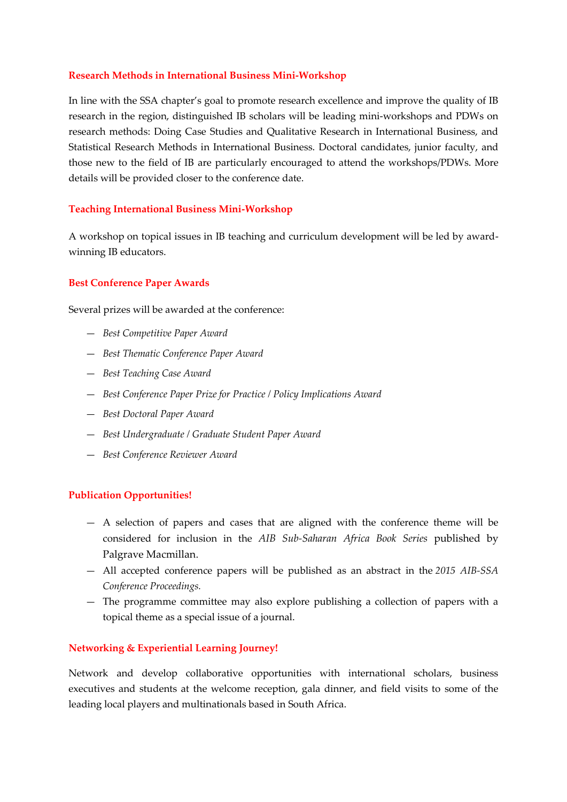#### **Research Methods in International Business Mini-Workshop**

In line with the SSA chapter's goal to promote research excellence and improve the quality of IB research in the region, distinguished IB scholars will be leading mini-workshops and PDWs on research methods: Doing Case Studies and Qualitative Research in International Business, and Statistical Research Methods in International Business. Doctoral candidates, junior faculty, and those new to the field of IB are particularly encouraged to attend the workshops/PDWs. More details will be provided closer to the conference date.

#### **Teaching International Business Mini-Workshop**

A workshop on topical issues in IB teaching and curriculum development will be led by awardwinning IB educators.

#### **Best Conference Paper Awards**

Several prizes will be awarded at the conference:

- *Best Competitive Paper Award*
- *Best Thematic Conference Paper Award*
- *Best Teaching Case Award*
- *Best Conference Paper Prize for Practice / Policy Implications Award*
- *Best Doctoral Paper Award*
- *Best Undergraduate / Graduate Student Paper Award*
- *Best Conference Reviewer Award*

#### **Publication Opportunities!**

- A selection of papers and cases that are aligned with the conference theme will be considered for inclusion in the *AIB Sub-Saharan Africa Book Series* published by Palgrave Macmillan.
- All accepted conference papers will be published as an abstract in the *2015 AIB-SSA Conference Proceedings.*
- The programme committee may also explore publishing a collection of papers with a topical theme as a special issue of a journal.

#### **Networking & Experiential Learning Journey!**

Network and develop collaborative opportunities with international scholars, business executives and students at the welcome reception, gala dinner, and field visits to some of the leading local players and multinationals based in South Africa.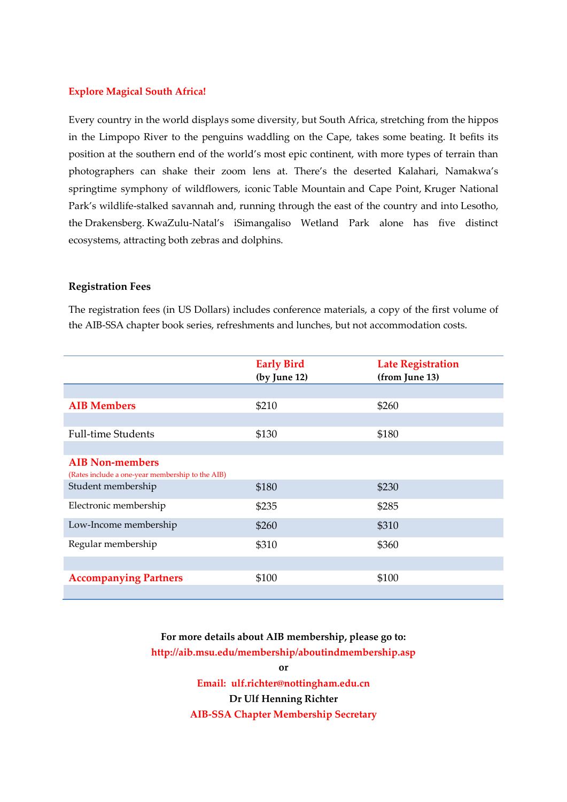#### **Explore Magical South Africa!**

Every country in the world displays some diversity, but [South Africa,](http://www.lonelyplanet.com/south-africa) stretching from the hippos in the Limpopo River to the penguins waddling on the Cape, takes some beating. It befits its position at the southern end of the world's most epic continent, with more types of terrain than photographers can shake their zoom lens at. There's the deserted Kalahari, Namakwa's springtime symphony of wildflowers, iconic [Table Mountain](http://www.lonelyplanet.com/destinationRedirector?atlasId=355613) and Cape Point, [Kruger National](http://www.lonelyplanet.com/destinationRedirector?atlasId=355623)  [Park](http://www.lonelyplanet.com/destinationRedirector?atlasId=355623)'s wildlife-stalked savannah and, running through the east of the country and into [Lesotho,](http://www.lonelyplanet.com/destinationRedirector?atlasId=355349) the [Drakensberg.](http://www.lonelyplanet.com/destinationRedirector?atlasId=355624) [KwaZulu-Natal](http://www.lonelyplanet.com/destinationRedirector?atlasId=355619)'s iSimangaliso Wetland Park alone has five distinct ecosystems, attracting both zebras and dolphins.

#### **Registration Fees**

The registration fees (in US Dollars) includes conference materials, a copy of the first volume of the AIB-SSA chapter book series, refreshments and lunches, but not accommodation costs.

|                                                                            | <b>Early Bird</b><br>(by June 12) | <b>Late Registration</b><br>(from June 13) |
|----------------------------------------------------------------------------|-----------------------------------|--------------------------------------------|
|                                                                            |                                   |                                            |
| <b>AIB Members</b>                                                         | \$210                             | \$260                                      |
|                                                                            |                                   |                                            |
| <b>Full-time Students</b>                                                  | \$130                             | \$180                                      |
|                                                                            |                                   |                                            |
| <b>AIB Non-members</b><br>(Rates include a one-year membership to the AIB) |                                   |                                            |
| Student membership                                                         | \$180                             | \$230                                      |
| Electronic membership                                                      | \$235                             | \$285                                      |
| Low-Income membership                                                      | \$260                             | \$310                                      |
| Regular membership                                                         | \$310                             | \$360                                      |
|                                                                            |                                   |                                            |
| <b>Accompanying Partners</b>                                               | \$100                             | \$100                                      |
|                                                                            |                                   |                                            |

**For more details about AIB membership, please go to: http://aib.msu.edu/membership/aboutindmembership.asp**

**or**

**Email: ulf.richter@nottingham.edu.cn Dr Ulf Henning Richter AIB-SSA Chapter Membership Secretary**